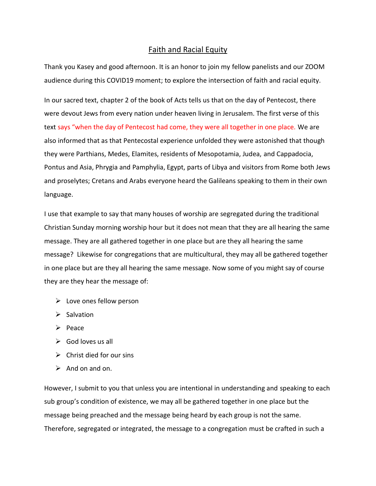## Faith and Racial Equity

Thank you Kasey and good afternoon. It is an honor to join my fellow panelists and our ZOOM audience during this COVID19 moment; to explore the intersection of faith and racial equity.

In our sacred text, chapter 2 of the book of Acts tells us that on the day of Pentecost, there were devout Jews from every nation under heaven living in Jerusalem. The first verse of this text says "when the day of Pentecost had come, they were all together in one place. We are also informed that as that Pentecostal experience unfolded they were astonished that though they were Parthians, Medes, Elamites, residents of Mesopotamia, Judea, and Cappadocia, Pontus and Asia, Phrygia and Pamphylia, Egypt, parts of Libya and visitors from Rome both Jews and proselytes; Cretans and Arabs everyone heard the Galileans speaking to them in their own language.

I use that example to say that many houses of worship are segregated during the traditional Christian Sunday morning worship hour but it does not mean that they are all hearing the same message. They are all gathered together in one place but are they all hearing the same message? Likewise for congregations that are multicultural, they may all be gathered together in one place but are they all hearing the same message. Now some of you might say of course they are they hear the message of:

- $\triangleright$  Love ones fellow person
- $\triangleright$  Salvation
- $\triangleright$  Peace
- $\triangleright$  God loves us all
- $\triangleright$  Christ died for our sins
- $\triangleright$  And on and on.

However, I submit to you that unless you are intentional in understanding and speaking to each sub group's condition of existence, we may all be gathered together in one place but the message being preached and the message being heard by each group is not the same. Therefore, segregated or integrated, the message to a congregation must be crafted in such a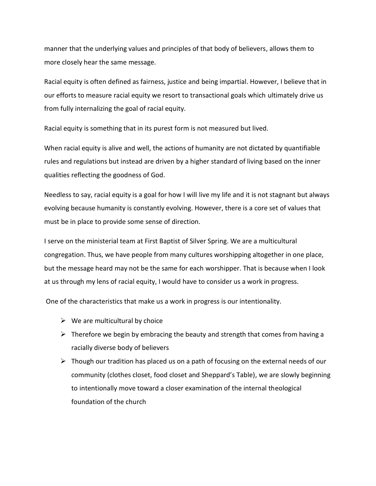manner that the underlying values and principles of that body of believers, allows them to more closely hear the same message.

Racial equity is often defined as fairness, justice and being impartial. However, I believe that in our efforts to measure racial equity we resort to transactional goals which ultimately drive us from fully internalizing the goal of racial equity.

Racial equity is something that in its purest form is not measured but lived.

When racial equity is alive and well, the actions of humanity are not dictated by quantifiable rules and regulations but instead are driven by a higher standard of living based on the inner qualities reflecting the goodness of God.

Needless to say, racial equity is a goal for how I will live my life and it is not stagnant but always evolving because humanity is constantly evolving. However, there is a core set of values that must be in place to provide some sense of direction.

I serve on the ministerial team at First Baptist of Silver Spring. We are a multicultural congregation. Thus, we have people from many cultures worshipping altogether in one place, but the message heard may not be the same for each worshipper. That is because when I look at us through my lens of racial equity, I would have to consider us a work in progress.

One of the characteristics that make us a work in progress is our intentionality.

- $\triangleright$  We are multicultural by choice
- $\triangleright$  Therefore we begin by embracing the beauty and strength that comes from having a racially diverse body of believers
- $\triangleright$  Though our tradition has placed us on a path of focusing on the external needs of our community (clothes closet, food closet and Sheppard's Table), we are slowly beginning to intentionally move toward a closer examination of the internal theological foundation of the church